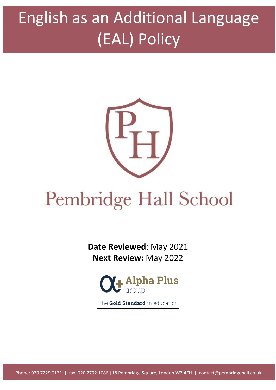# English as an Additional Language (EAL) Policy



# Pembridge Hall School

**Date Reviewed**: May 2021 **Next Review:** May 2022



the Gold Standard in education

Phone: 020 7229 0121 | fax: 020 7792 1086 |18 Pembridge Square, London W2 4EH | contact@pembridgehall.co.uk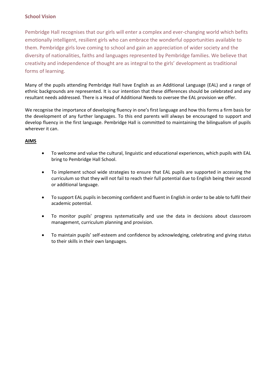#### **School Vision**

Pembridge Hall recognises that our girls will enter a complex and ever-changing world which befits emotionally intelligent, resilient girls who can embrace the wonderful opportunities available to them. Pembridge girls love coming to school and gain an appreciation of wider society and the diversity of nationalities, faiths and languages represented by Pembridge families. We believe that creativity and independence of thought are as integral to the girls' development as traditional forms of learning.

Many of the pupils attending Pembridge Hall have English as an Additional Language (EAL) and a range of ethnic backgrounds are represented. It is our intention that these differences should be celebrated and any resultant needs addressed. There is a Head of Additional Needs to oversee the EAL provision we offer.

We recognise the importance of developing fluency in one's first language and how this forms a firm basis for the development of any further languages. To this end parents will always be encouraged to support and develop fluency in the first language. Pembridge Hall is committed to maintaining the bilingualism of pupils wherever it can.

#### **AIMS**

- To welcome and value the cultural, linguistic and educational experiences, which pupils with EAL bring to Pembridge Hall School.
- To implement school wide strategies to ensure that EAL pupils are supported in accessing the curriculum so that they will not fail to reach their full potential due to English being their second or additional language.
- To support EAL pupils in becoming confident and fluent in English in order to be able to fulfil their academic potential.
- To monitor pupils' progress systematically and use the data in decisions about classroom management, curriculum planning and provision.
- To maintain pupils' self-esteem and confidence by acknowledging, celebrating and giving status to their skills in their own languages.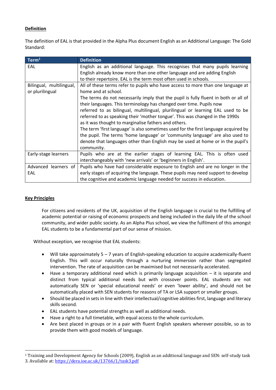#### **Definition**

The definition of EAL is that provided in the Alpha Plus document English as an Additional Language: The Gold Standard:

| Term <sup>1</sup>                           | <b>Definition</b>                                                                                                                                                                                                                                                                                                                                                                                                                                                                                                                                                                                                                                             |  |  |
|---------------------------------------------|---------------------------------------------------------------------------------------------------------------------------------------------------------------------------------------------------------------------------------------------------------------------------------------------------------------------------------------------------------------------------------------------------------------------------------------------------------------------------------------------------------------------------------------------------------------------------------------------------------------------------------------------------------------|--|--|
| EAL                                         | English as an additional language. This recognises that many pupils learning<br>English already know more than one other language and are adding English<br>to their repertoire. EAL is the term most often used in schools.                                                                                                                                                                                                                                                                                                                                                                                                                                  |  |  |
| Bilingual, multilingual,<br>or plurilingual | All of these terms refer to pupils who have access to more than one language at<br>home and at school.                                                                                                                                                                                                                                                                                                                                                                                                                                                                                                                                                        |  |  |
|                                             | The terms do not necessarily imply that the pupil is fully fluent in both or all of<br>their languages. This terminology has changed over time. Pupils now<br>referred to as bilingual, multilingual, plurilingual or learning EAL used to be<br>referred to as speaking their 'mother tongue'. This was changed in the 1990s<br>as it was thought to marginalise fathers and others.<br>The term 'first language' is also sometimes used for the first language acquired by<br>the pupil. The terms 'home language' or 'community language' are also used to<br>denote that languages other than English may be used at home or in the pupil's<br>community. |  |  |
| Early-stage learners                        | Pupils who are at the earlier stages of learning EAL. This is often used<br>interchangeably with 'new arrivals' or 'beginners in English'.                                                                                                                                                                                                                                                                                                                                                                                                                                                                                                                    |  |  |
| Advanced learners of<br>EAL                 | Pupils who have had considerable exposure to English and are no longer in the<br>early stages of acquiring the language. These pupils may need support to develop<br>the cognitive and academic language needed for success in education.                                                                                                                                                                                                                                                                                                                                                                                                                     |  |  |

#### **Key Principles**

 $\overline{\phantom{a}}$ 

For citizens and residents of the UK, acquisition of the English language is crucial to the fulfilling of academic potential or raising of economic prospects and being included in the daily life of the school community, and wider public society. As an Alpha Plus school, we view the fulfilment of this amongst EAL students to be a fundamental part of our sense of mission.

Without exception, we recognise that EAL students:

- Will take approximately 5 7 years of English-speaking education to acquire academically-fluent English. This will occur naturally through a nurturing immersion rather than segregated intervention. The rate of acquisition can be maximised but not necessarily accelerated.
- Have a temporary additional need which is primarily language acquisition it is separate and distinct from typical additional needs but with crossover points. EAL students are not automatically SEN or 'special educational needs' or even 'lower ability', and should not be automatically placed with SEN students for reasons of TA or LSA support or smaller groups.
- Should be placed in sets in line with their intellectual/cognitive abilities first, language and literacy skills second.
- EAL students have potential strengths as well as additional needs.
- Have a right to a full timetable, with equal access to the whole curriculum.
- Are best placed in groups or in a pair with fluent English speakers wherever possible, so as to provide them with good models of language.

<sup>1</sup> Training and Development Agency for Schools (2009), English as an additional language and SEN: self-study task 3. Available at[: https://dera.ioe.ac.uk/13766/1/task3.pdf](https://dera.ioe.ac.uk/13766/1/task3.pdf)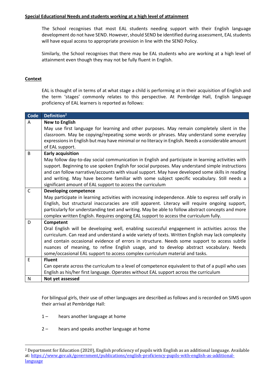#### **Special Educational Needs and students working at a high level of attainment**

The School recognises that most EAL students needing support with their English language development do not have SEND. However, should SEND be identified during assessment, EAL students will have equal access to appropriate provision in line with the SEND Policy.

Similarly, the School recognises that there may be EAL students who are working at a high level of attainment even though they may not be fully fluent in English.

#### **Context**

l

EAL is thought of in terms of at what stage a child is performing at in their acquisition of English and the term 'stages' commonly relates to this perspective. At Pembridge Hall, English language proficiency of EAL learners is reported as follows:

| Code         | Definition <sup>2</sup>                                                                             |  |  |  |
|--------------|-----------------------------------------------------------------------------------------------------|--|--|--|
| A            | <b>New to English</b>                                                                               |  |  |  |
|              | May use first language for learning and other purposes. May remain completely silent in the         |  |  |  |
|              | classroom. May be copying/repeating some words or phrases. May understand some everyday             |  |  |  |
|              | expressions in English but may have minimal or no literacy in English. Needs a considerable amount  |  |  |  |
|              | of EAL support.                                                                                     |  |  |  |
| B            | <b>Early acquisition</b>                                                                            |  |  |  |
|              | May follow day-to-day social communication in English and participate in learning activities with   |  |  |  |
|              | support. Beginning to use spoken English for social purposes. May understand simple instructions    |  |  |  |
|              | and can follow narrative/accounts with visual support. May have developed some skills in reading    |  |  |  |
|              | and writing. May have become familiar with some subject specific vocabulary. Still needs a          |  |  |  |
|              | significant amount of EAL support to access the curriculum                                          |  |  |  |
| $\mathsf{C}$ | <b>Developing competence</b>                                                                        |  |  |  |
|              | May participate in learning activities with increasing independence. Able to express self orally in |  |  |  |
|              | English, but structural inaccuracies are still apparent. Literacy will require ongoing support,     |  |  |  |
|              | particularly for understanding text and writing. May be able to follow abstract concepts and more   |  |  |  |
|              | complex written English. Requires ongoing EAL support to access the curriculum fully.               |  |  |  |
| D            | Competent                                                                                           |  |  |  |
|              | Oral English will be developing well, enabling successful engagement in activities across the       |  |  |  |
|              | curriculum. Can read and understand a wide variety of texts. Written English may lack complexity    |  |  |  |
|              | and contain occasional evidence of errors in structure. Needs some support to access subtle         |  |  |  |
|              | nuances of meaning, to refine English usage, and to develop abstract vocabulary. Needs              |  |  |  |
|              | some/occasional EAL support to access complex curriculum material and tasks.                        |  |  |  |
| E            | <b>Fluent</b>                                                                                       |  |  |  |
|              | Can operate across the curriculum to a level of competence equivalent to that of a pupil who uses   |  |  |  |
|              | English as his/her first language. Operates without EAL support across the curriculum               |  |  |  |
| $\mathsf{N}$ | Not yet assessed                                                                                    |  |  |  |

For bilingual girls, their use of other languages are described as follows and is recorded on SIMS upon their arrival at Pembridge Hall:

- 1 hears another language at home
- 2 hears and speaks another language at home

<sup>2</sup> Department for Education (2020), English proficiency of pupils with English as an additional language. Available at: [https://www.gov.uk/government/publications/english-proficiency-pupils-with-english-as-additional](https://www.gov.uk/government/publications/english-proficiency-pupils-with-english-as-additional-language)[language](https://www.gov.uk/government/publications/english-proficiency-pupils-with-english-as-additional-language)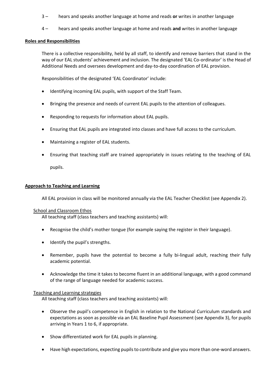- 3 hears and speaks another language at home and reads **or** writes in another language
- 4 hears and speaks another language at home and reads **and** writes in another language

#### **Roles and Responsibilities**

There is a collective responsibility, held by all staff, to identify and remove barriers that stand in the way of our EAL students' achievement and inclusion. The designated 'EAL Co-ordinator' is the Head of Additional Needs and oversees development and day-to-day coordination of EAL provision.

Responsibilities of the designated 'EAL Coordinator' include:

- Identifying incoming EAL pupils, with support of the Staff Team.
- Bringing the presence and needs of current EAL pupils to the attention of colleagues.
- Responding to requests for information about EAL pupils.
- Ensuring that EAL pupils are integrated into classes and have full access to the curriculum.
- Maintaining a register of EAL students.
- Ensuring that teaching staff are trained appropriately in issues relating to the teaching of EAL

pupils.

#### **Approach to Teaching and Learning**

All EAL provision in class will be monitored annually via the EAL Teacher Checklist (see Appendix 2).

#### School and Classroom Ethos

All teaching staff (class teachers and teaching assistants) will:

- Recognise the child's mother tongue (for example saying the register in their language).
- Identify the pupil's strengths.
- Remember, pupils have the potential to become a fully bi-lingual adult, reaching their fully academic potential.
- Acknowledge the time it takes to become fluent in an additional language, with a good command of the range of language needed for academic success.

#### Teaching and Learning strategies

All teaching staff (class teachers and teaching assistants) will:

- Observe the pupil's competence in English in relation to the National Curriculum standards and expectations as soon as possible via an EAL Baseline Pupil Assessment (see Appendix 3), for pupils arriving in Years 1 to 6, if appropriate.
- Show differentiated work for EAL pupils in planning.
- Have high expectations, expecting pupils to contribute and give you more than one-word answers.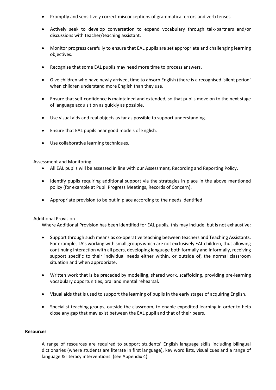- Promptly and sensitively correct misconceptions of grammatical errors and verb tenses.
- Actively seek to develop conversation to expand vocabulary through talk-partners and/or discussions with teacher/teaching assistant.
- Monitor progress carefully to ensure that EAL pupils are set appropriate and challenging learning objectives.
- Recognise that some EAL pupils may need more time to process answers.
- Give children who have newly arrived, time to absorb English (there is a recognised 'silent period' when children understand more English than they use.
- Ensure that self-confidence is maintained and extended, so that pupils move on to the next stage of language acquisition as quickly as possible.
- Use visual aids and real objects as far as possible to support understanding.
- Ensure that EAL pupils hear good models of English.
- Use collaborative learning techniques.

#### Assessment and Monitoring

- All EAL pupils will be assessed in line with our Assessment, Recording and Reporting Policy.
- Identify pupils requiring additional support via the strategies in place in the above mentioned policy (for example at Pupil Progress Meetings, Records of Concern).
- Appropriate provision to be put in place according to the needs identified.

#### Additional Provision

Where Additional Provision has been identified for EAL pupils, this may include, but is not exhaustive:

- Support through such means as co-operative teaching between teachers and Teaching Assistants. For example, TA's working with small groups which are not exclusively EAL children, thus allowing continuing interaction with all peers, developing language both formally and informally, receiving support specific to their individual needs either within, or outside of, the normal classroom situation and when appropriate.
- Written work that is be preceded by modelling, shared work, scaffolding, providing pre-learning vocabulary opportunities, oral and mental rehearsal.
- Visual aids that is used to support the learning of pupils in the early stages of acquiring English.
- Specialist teaching groups, outside the classroom, to enable expedited learning in order to help close any gap that may exist between the EAL pupil and that of their peers.

#### **Resources**

A range of resources are required to support students' English language skills including bilingual dictionaries (where students are literate in first language), key word lists, visual cues and a range of language & literacy interventions. (see Appendix 4)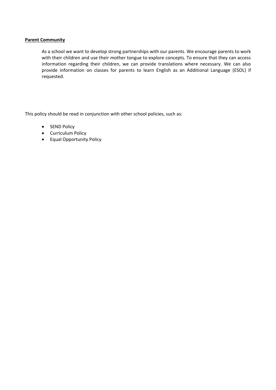#### **Parent Community**

As a school we want to develop strong partnerships with our parents. We encourage parents to work with their children and use their mother tongue to explore concepts. To ensure that they can access information regarding their children, we can provide translations where necessary. We can also provide information on classes for parents to learn English as an Additional Language (ESOL) if requested.

This policy should be read in conjunction with other school policies, such as:

- SEND Policy
- Curriculum Policy
- Equal Opportunity Policy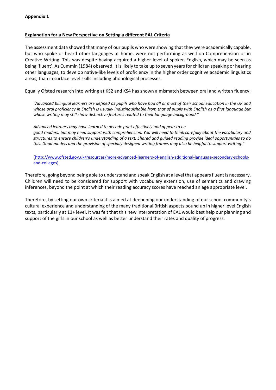#### **Explanation for a New Perspective on Setting a different EAL Criteria**

The assessment data showed that many of our pupils who were showing that they were academically capable, but who spoke or heard other languages at home, were not performing as well on Comprehension or in Creative Writing. This was despite having acquired a higher level of spoken English, which may be seen as being 'fluent'. As Cummin (1984) observed, it is likely to take up to seven years for children speaking or hearing other languages, to develop native-like levels of proficiency in the higher order cognitive academic linguistics areas, than in surface level skills including phonological processes.

Equally Ofsted research into writing at KS2 and KS4 has shown a mismatch between oral and written fluency:

*"Advanced bilingual learners are defined as pupils who have had all or most of their school education in the UK and whose oral proficiency in English is usually indistinguishable from that of pupils with English as a first language but whose writing may still show distinctive features related to their language background."*

*Advanced learners may have learned to decode print effectively and appear to be good readers, but may need support with comprehension. You will need to think carefully about the vocabulary and structures to ensure children's understanding of a text. Shared and guided reading provide ideal opportunities to do this. Good models and the provision of specially designed writing frames may also be helpful to support writing."*

([http://www.ofsted.gov.uk/resources/more-advanced-learners-of-english-additional-language-secondary-schools](http://www.ofsted.gov.uk/resources/more-advanced-learners-of-english-additional-language-secondary-schools-and-colleges)[and-colleges\)](http://www.ofsted.gov.uk/resources/more-advanced-learners-of-english-additional-language-secondary-schools-and-colleges)

Therefore, going beyond being able to understand and speak English at a level that appears fluent is necessary. Children will need to be considered for support with vocabulary extension, use of semantics and drawing inferences, beyond the point at which their reading accuracy scores have reached an age appropriate level.

Therefore, by setting our own criteria it is aimed at deepening our understanding of our school community's cultural experience and understanding of the many traditional British aspects bound up in higher level English texts, particularly at 11+ level. It was felt that this new interpretation of EAL would best help our planning and support of the girls in our school as well as better understand their rates and quality of progress.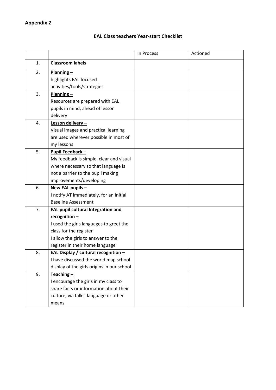# **EAL Class teachers Year-start Checklist**

|    |                                             | In Process | Actioned |
|----|---------------------------------------------|------------|----------|
| 1. | <b>Classroom labels</b>                     |            |          |
| 2. | $Planning -$                                |            |          |
|    | highlights EAL focused                      |            |          |
|    | activities/tools/strategies                 |            |          |
| 3. | $Planning -$                                |            |          |
|    | Resources are prepared with EAL             |            |          |
|    | pupils in mind, ahead of lesson             |            |          |
|    | delivery                                    |            |          |
| 4. | Lesson delivery-                            |            |          |
|    | Visual images and practical learning        |            |          |
|    | are used wherever possible in most of       |            |          |
|    | my lessons                                  |            |          |
| 5. | Pupil Feedback -                            |            |          |
|    | My feedback is simple, clear and visual     |            |          |
|    | where necessary so that language is         |            |          |
|    | not a barrier to the pupil making           |            |          |
|    | improvements/developing                     |            |          |
| 6. | New EAL pupils -                            |            |          |
|    | I notify AT immediately, for an Initial     |            |          |
|    | <b>Baseline Assessment</b>                  |            |          |
| 7. | <b>EAL pupil cultural Integration and</b>   |            |          |
|    | recognition $-$                             |            |          |
|    | I used the girls languages to greet the     |            |          |
|    | class for the register                      |            |          |
|    | I allow the girls to answer to the          |            |          |
|    | register in their home language             |            |          |
| 8. | <b>EAL Display / cultural recognition -</b> |            |          |
|    | I have discussed the world map school       |            |          |
|    | display of the girls origins in our school  |            |          |
| 9. | $Teaching -$                                |            |          |
|    | I encourage the girls in my class to        |            |          |
|    | share facts or information about their      |            |          |
|    | culture, via talks, language or other       |            |          |
|    | means                                       |            |          |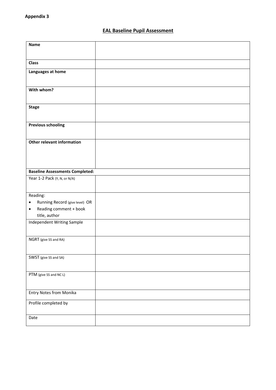### **EAL Baseline Pupil Assessment**

| <b>Name</b>                                 |  |
|---------------------------------------------|--|
|                                             |  |
| <b>Class</b>                                |  |
| Languages at home                           |  |
| With whom?                                  |  |
|                                             |  |
| <b>Stage</b>                                |  |
| <b>Previous schooling</b>                   |  |
| Other relevant information                  |  |
|                                             |  |
|                                             |  |
| <b>Baseline Assessments Completed:</b>      |  |
| Year 1-2 Pack (Y, N, or N/A)                |  |
| Reading:                                    |  |
| Running Record (give level) OR<br>$\bullet$ |  |
| Reading comment + book<br>$\bullet$         |  |
| title, author                               |  |
| Independent Writing Sample                  |  |
| NGRT (give SS and RA)                       |  |
|                                             |  |
| SWST (give SS and SA)                       |  |
|                                             |  |
| PTM (give SS and NC L)                      |  |
| <b>Entry Notes from Monika</b>              |  |
|                                             |  |
| Profile completed by                        |  |
| Date                                        |  |